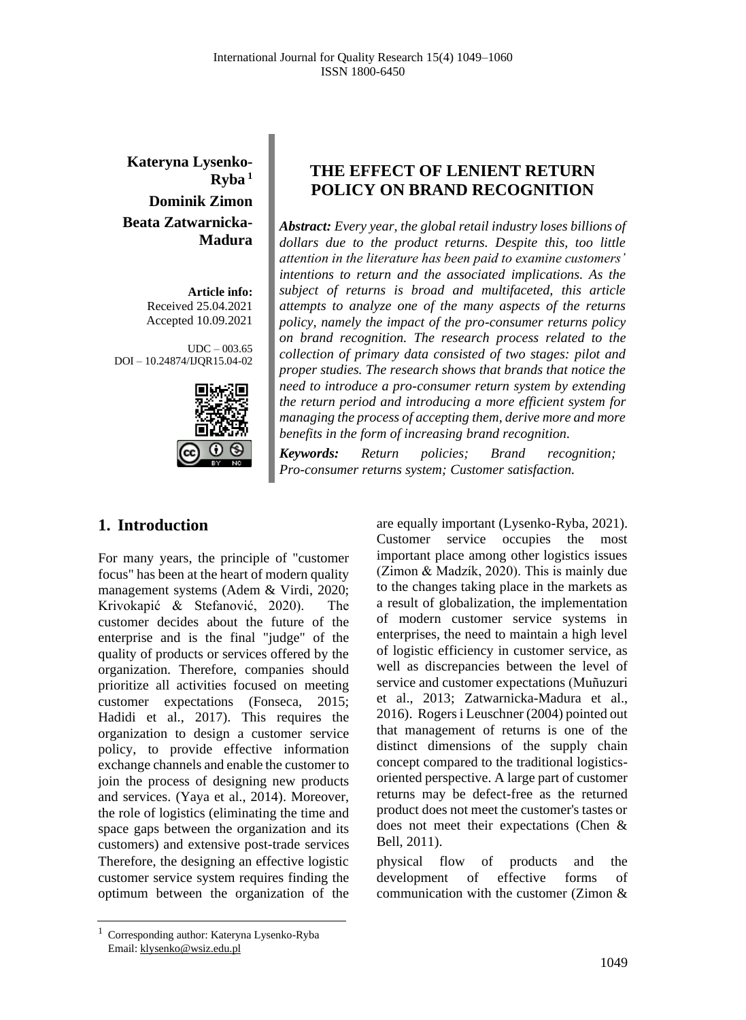**Kateryna Lysenko-Ryba <sup>1</sup> Dominik Zimon Beata Zatwarnicka-Madura**

> **Article info:** Received 25.04.2021 Accepted 10.09.2021

 $UDC - 003.65$ DOI – 10.24874/IJQR15.04-02



# **THE EFFECT OF LENIENT RETURN POLICY ON BRAND RECOGNITION**

*Abstract: Every year, the global retail industry loses billions of dollars due to the product returns. Despite this, too little attention in the literature has been paid to examine customers' intentions to return and the associated implications. As the subject of returns is broad and multifaceted, this article attempts to analyze one of the many aspects of the returns policy, namely the impact of the pro-consumer returns policy on brand recognition. The research process related to the collection of primary data consisted of two stages: pilot and proper studies. The research shows that brands that notice the need to introduce a pro-consumer return system by extending the return period and introducing a more efficient system for managing the process of accepting them, derive more and more benefits in the form of increasing brand recognition.* 

*Keywords: Return policies; Brand recognition; Pro-consumer returns system; Customer satisfaction.*

# **1. Introduction**

For many years, the principle of "customer focus" has been at the heart of modern quality management systems (Adem & Virdi, 2020; Krivokapić & Stefanović, 2020). The customer decides about the future of the enterprise and is the final "judge" of the quality of products or services offered by the organization. Therefore, companies should prioritize all activities focused on meeting customer expectations (Fonseca, 2015; Hadidi et al., 2017). This requires the organization to design a customer service policy, to provide effective information exchange channels and enable the customer to join the process of designing new products and services. (Yaya et al., 2014). Moreover, the role of logistics (eliminating the time and space gaps between the organization and its customers) and extensive post-trade services Therefore, the designing an effective logistic customer service system requires finding the optimum between the organization of the

are equally important (Lysenko-Ryba, 2021). Customer service occupies the most important place among other logistics issues (Zimon & Madzík, 2020). This is mainly due to the changes taking place in the markets as a result of globalization, the implementation of modern customer service systems in enterprises, the need to maintain a high level of logistic efficiency in customer service, as well as discrepancies between the level of service and customer expectations (Muñuzuri et al., 2013; Zatwarnicka-Madura et al., 2016). Rogers i Leuschner (2004) pointed out that management of returns is one of the distinct dimensions of the supply chain concept compared to the traditional logisticsoriented perspective. A large part of customer returns may be defect-free as the returned product does not meet the customer's tastes or does not meet their expectations (Chen & Bell, 2011).

physical flow of products and the development of effective forms of communication with the customer (Zimon &

<sup>1</sup> Corresponding author: Kateryna Lysenko-Ryba Email: klysenko@wsiz.edu.pl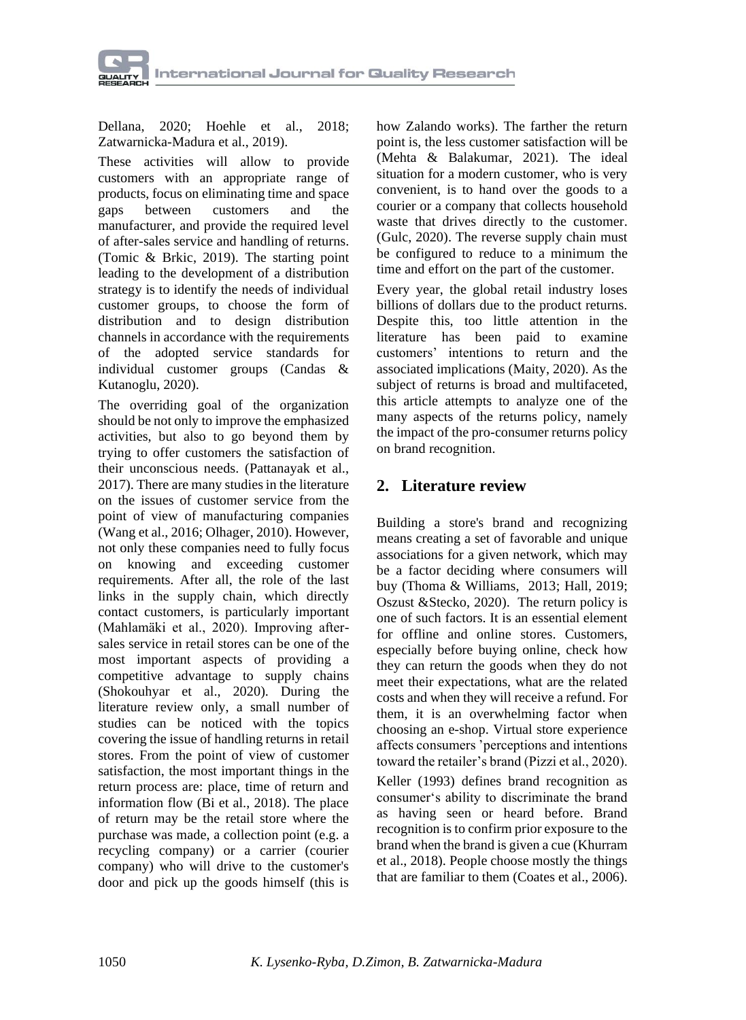

Dellana, 2020; Hoehle et al., 2018; Zatwarnicka-Madura et al., 2019).

These activities will allow to provide customers with an appropriate range of products, focus on eliminating time and space gaps between customers and the manufacturer, and provide the required level of after-sales service and handling of returns. (Tomic & Brkic, 2019). The starting point leading to the development of a distribution strategy is to identify the needs of individual customer groups, to choose the form of distribution and to design distribution channels in accordance with the requirements of the adopted service standards for individual customer groups (Candas & Kutanoglu, 2020).

The overriding goal of the organization should be not only to improve the emphasized activities, but also to go beyond them by trying to offer customers the satisfaction of their unconscious needs. (Pattanayak et al., 2017). There are many studies in the literature on the issues of customer service from the point of view of manufacturing companies (Wang et al., 2016; Olhager, 2010). However, not only these companies need to fully focus on knowing and exceeding customer requirements. After all, the role of the last links in the supply chain, which directly contact customers, is particularly important (Mahlamäki et al., 2020). Improving aftersales service in retail stores can be one of the most important aspects of providing a competitive advantage to supply chains (Shokouhyar et al., 2020). During the literature review only, a small number of studies can be noticed with the topics covering the issue of handling returns in retail stores. From the point of view of customer satisfaction, the most important things in the return process are: place, time of return and information flow (Bi et al., 2018). The place of return may be the retail store where the purchase was made, a collection point (e.g. a recycling company) or a carrier (courier company) who will drive to the customer's door and pick up the goods himself (this is how Zalando works). The farther the return point is, the less customer satisfaction will be (Mehta & Balakumar, 2021). The ideal situation for a modern customer, who is very convenient, is to hand over the goods to a courier or a company that collects household waste that drives directly to the customer. (Gulc, 2020). The reverse supply chain must be configured to reduce to a minimum the time and effort on the part of the customer.

Every year, the global retail industry loses billions of dollars due to the product returns. Despite this, too little attention in the literature has been paid to examine customers' intentions to return and the associated implications (Maity, 2020). As the subject of returns is broad and multifaceted, this article attempts to analyze one of the many aspects of the returns policy, namely the impact of the pro-consumer returns policy on brand recognition.

#### **2. Literature review**

Building a store's brand and recognizing means creating a set of favorable and unique associations for a given network, which may be a factor deciding where consumers will buy (Thoma & Williams, 2013; Hall, 2019; Oszust &Stecko, 2020). The return policy is one of such factors. It is an essential element for offline and online stores. Customers, especially before buying online, check how they can return the goods when they do not meet their expectations, what are the related costs and when they will receive a refund. For them, it is an overwhelming factor when choosing an e-shop. Virtual store experience affects consumers 'perceptions and intentions toward the retailer's brand (Pizzi et al., 2020).

Keller (1993) defines brand recognition as consumer's ability to discriminate the brand as having seen or heard before. Brand recognition is to confirm prior exposure to the brand when the brand is given a cue (Khurram et al., 2018). People choose mostly the things that are familiar to them (Coates et al., 2006).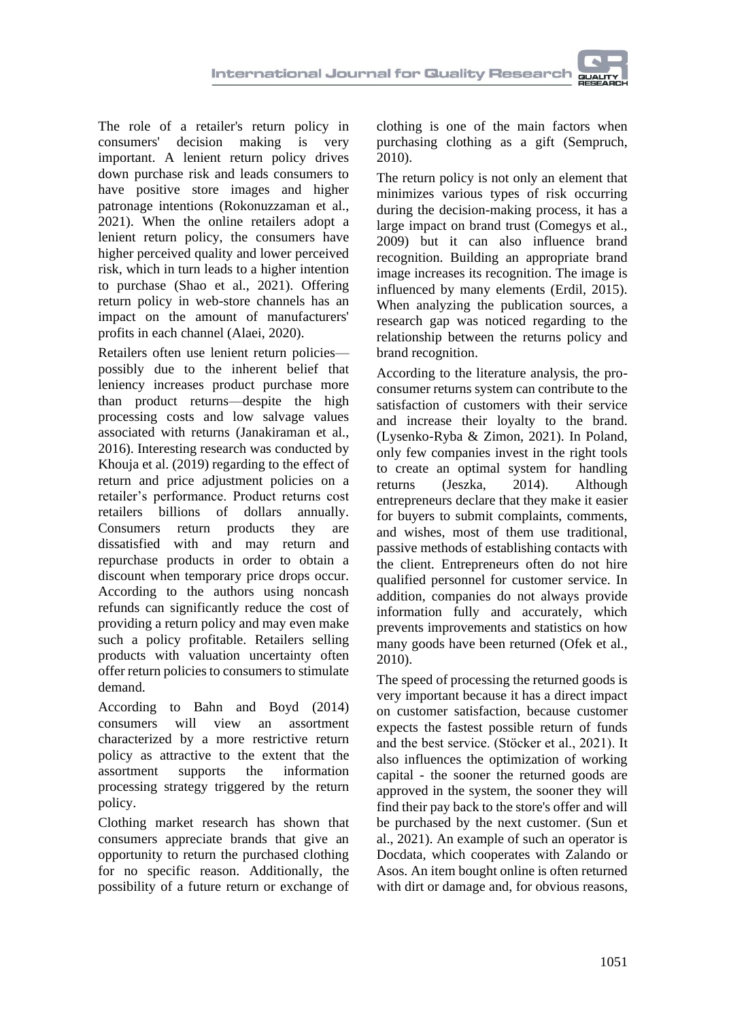The role of a retailer's return policy in consumers' decision making is very important. A lenient return policy drives down purchase risk and leads consumers to have positive store images and higher patronage intentions (Rokonuzzaman et al., 2021). When the online retailers adopt a lenient return policy, the consumers have higher perceived quality and lower perceived risk, which in turn leads to a higher intention to purchase (Shao et al., 2021). Offering return policy in web-store channels has an impact on the amount of manufacturers' profits in each channel (Alaei, 2020).

Retailers often use lenient return policies possibly due to the inherent belief that leniency increases product purchase more than product returns—despite the high processing costs and low salvage values associated with returns (Janakiraman et al., 2016). Interesting research was conducted by Khouja et al. (2019) regarding to the effect of return and price adjustment policies on a retailer's performance. Product returns cost retailers billions of dollars annually. Consumers return products they are dissatisfied with and may return and repurchase products in order to obtain a discount when temporary price drops occur. According to the authors using noncash refunds can significantly reduce the cost of providing a return policy and may even make such a policy profitable. Retailers selling products with valuation uncertainty often offer return policies to consumers to stimulate demand.

According to Bahn and Boyd (2014) consumers will view an assortment characterized by a more restrictive return policy as attractive to the extent that the assortment supports the information processing strategy triggered by the return policy.

Clothing market research has shown that consumers appreciate brands that give an opportunity to return the purchased clothing for no specific reason. Additionally, the possibility of a future return or exchange of clothing is one of the main factors when purchasing clothing as a gift (Sempruch, 2010).

The return policy is not only an element that minimizes various types of risk occurring during the decision-making process, it has a large impact on brand trust (Comegys et al., 2009) but it can also influence brand recognition. Building an appropriate brand image increases its recognition. The image is influenced by many elements (Erdil, 2015). When analyzing the publication sources, a research gap was noticed regarding to the relationship between the returns policy and brand recognition.

According to the literature analysis, the proconsumer returns system can contribute to the satisfaction of customers with their service and increase their loyalty to the brand. (Lysenko-Ryba & Zimon, 2021). In Poland, only few companies invest in the right tools to create an optimal system for handling returns (Jeszka, 2014). Although entrepreneurs declare that they make it easier for buyers to submit complaints, comments, and wishes, most of them use traditional, passive methods of establishing contacts with the client. Entrepreneurs often do not hire qualified personnel for customer service. In addition, companies do not always provide information fully and accurately, which prevents improvements and statistics on how many goods have been returned (Ofek et al., 2010).

The speed of processing the returned goods is very important because it has a direct impact on customer satisfaction, because customer expects the fastest possible return of funds and the best service. (Stöcker et al., 2021). It also influences the optimization of working capital - the sooner the returned goods are approved in the system, the sooner they will find their pay back to the store's offer and will be purchased by the next customer. (Sun et al., 2021). An example of such an operator is Docdata, which cooperates with Zalando or Asos. An item bought online is often returned with dirt or damage and, for obvious reasons,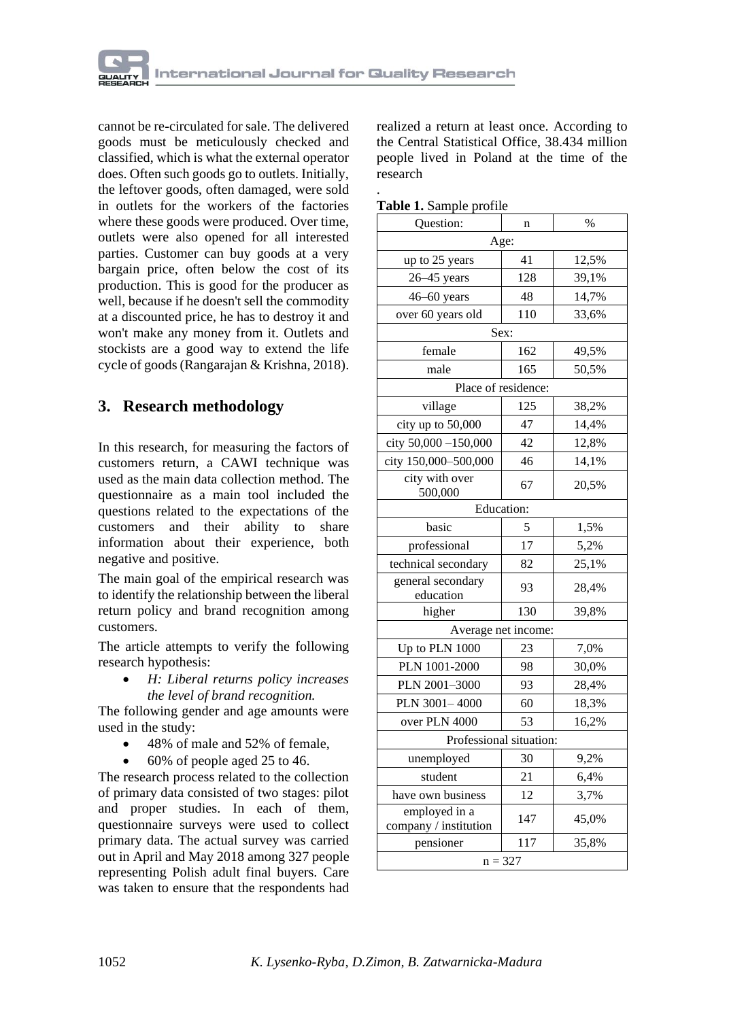cannot be re-circulated for sale. The delivered goods must be meticulously checked and classified, which is what the external operator does. Often such goods go to outlets. Initially, the leftover goods, often damaged, were sold in outlets for the workers of the factories where these goods were produced. Over time, outlets were also opened for all interested parties. Customer can buy goods at a very bargain price, often below the cost of its production. This is good for the producer as well, because if he doesn't sell the commodity at a discounted price, he has to destroy it and won't make any money from it. Outlets and stockists are a good way to extend the life cycle of goods (Rangarajan & Krishna, 2018).

# **3. Research methodology**

In this research, for measuring the factors of customers return, a CAWI technique was used as the main data collection method. The questionnaire as a main tool included the questions related to the expectations of the customers and their ability to share information about their experience, both negative and positive.

The main goal of the empirical research was to identify the relationship between the liberal return policy and brand recognition among customers.

The article attempts to verify the following research hypothesis:

> • *H: Liberal returns policy increases the level of brand recognition.*

The following gender and age amounts were used in the study:

- 48% of male and 52% of female,
	- 60% of people aged 25 to 46.

The research process related to the collection of primary data consisted of two stages: pilot and proper studies. In each of them, questionnaire surveys were used to collect primary data. The actual survey was carried out in April and May 2018 among 327 people representing Polish adult final buyers. Care was taken to ensure that the respondents had realized a return at least once. According to the Central Statistical Office, 38.434 million people lived in Poland at the time of the research

|  |  |  | Table 1. Sample profile |
|--|--|--|-------------------------|
|--|--|--|-------------------------|

.

| <b>1.</b> Dailyne profile              |                     |       |  |  |  |  |
|----------------------------------------|---------------------|-------|--|--|--|--|
| Question:                              | n                   | $\%$  |  |  |  |  |
|                                        | Age:                |       |  |  |  |  |
| up to 25 years                         | 41                  | 12,5% |  |  |  |  |
| $26 - 45$ years                        | 128                 | 39,1% |  |  |  |  |
| 46-60 years                            | 48                  | 14,7% |  |  |  |  |
| over 60 years old                      | 110                 | 33,6% |  |  |  |  |
| Sex:                                   |                     |       |  |  |  |  |
| female                                 | 162                 | 49,5% |  |  |  |  |
| male                                   | 165                 | 50,5% |  |  |  |  |
|                                        | Place of residence: |       |  |  |  |  |
| village                                | 125                 | 38,2% |  |  |  |  |
| city up to 50,000                      | 47                  | 14,4% |  |  |  |  |
| city 50,000 -150,000                   | 42                  | 12,8% |  |  |  |  |
| city 150,000-500,000                   | 46                  | 14,1% |  |  |  |  |
| city with over<br>500,000              | 67                  | 20,5% |  |  |  |  |
| <b>Education:</b>                      |                     |       |  |  |  |  |
| basic                                  | 5                   | 1,5%  |  |  |  |  |
| professional                           | 17                  | 5,2%  |  |  |  |  |
| technical secondary                    | 82                  | 25,1% |  |  |  |  |
| general secondary<br>education         | 93                  | 28,4% |  |  |  |  |
| higher                                 | 130                 | 39,8% |  |  |  |  |
|                                        | Average net income: |       |  |  |  |  |
| Up to PLN 1000                         | 23                  | 7,0%  |  |  |  |  |
| PLN 1001-2000                          | 98                  | 30,0% |  |  |  |  |
| PLN 2001-3000                          | 93                  | 28,4% |  |  |  |  |
| PLN 3001-4000                          | 60                  | 18,3% |  |  |  |  |
| over PLN 4000                          | 53                  | 16,2% |  |  |  |  |
| Professional situation:                |                     |       |  |  |  |  |
| unemployed                             | 30                  | 9,2%  |  |  |  |  |
| student                                | 21                  | 6,4%  |  |  |  |  |
| have own business                      | 12                  | 3,7%  |  |  |  |  |
| employed in a<br>company / institution | 147                 | 45,0% |  |  |  |  |
| pensioner                              | 117                 | 35,8% |  |  |  |  |
| $n = 327$                              |                     |       |  |  |  |  |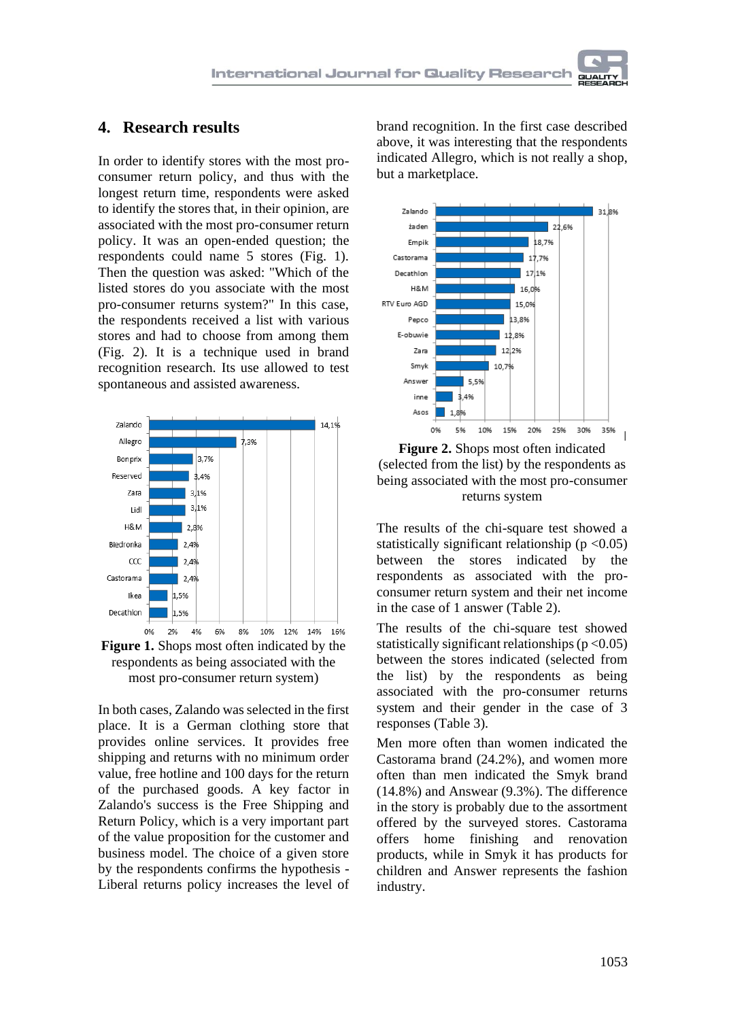#### **4. Research results**

In order to identify stores with the most proconsumer return policy, and thus with the longest return time, respondents were asked to identify the stores that, in their opinion, are associated with the most pro-consumer return policy. It was an open-ended question; the respondents could name 5 stores (Fig. 1). Then the question was asked: "Which of the listed stores do you associate with the most pro-consumer returns system?" In this case, the respondents received a list with various stores and had to choose from among them (Fig. 2). It is a technique used in brand recognition research. Its use allowed to test spontaneous and assisted awareness.





In both cases, Zalando was selected in the first place. It is a German clothing store that provides online services. It provides free shipping and returns with no minimum order value, free hotline and 100 days for the return of the purchased goods. A key factor in Zalando's success is the Free Shipping and Return Policy, which is a very important part of the value proposition for the customer and business model. The choice of a given store by the respondents confirms the hypothesis - Liberal returns policy increases the level of

brand recognition. In the first case described above, it was interesting that the respondents indicated Allegro, which is not really a shop, but a marketplace.



**Figure 2.** Shops most often indicated (selected from the list) by the respondents as being associated with the most pro-consumer returns system

The results of the chi-square test showed a statistically significant relationship ( $p < 0.05$ ) between the stores indicated by the respondents as associated with the proconsumer return system and their net income in the case of 1 answer (Table 2).

The results of the chi-square test showed statistically significant relationships  $(p < 0.05)$ between the stores indicated (selected from the list) by the respondents as being associated with the pro-consumer returns system and their gender in the case of 3 responses (Table 3).

Men more often than women indicated the Castorama brand (24.2%), and women more often than men indicated the Smyk brand (14.8%) and Answear (9.3%). The difference in the story is probably due to the assortment offered by the surveyed stores. Castorama offers home finishing and renovation products, while in Smyk it has products for children and Answer represents the fashion industry.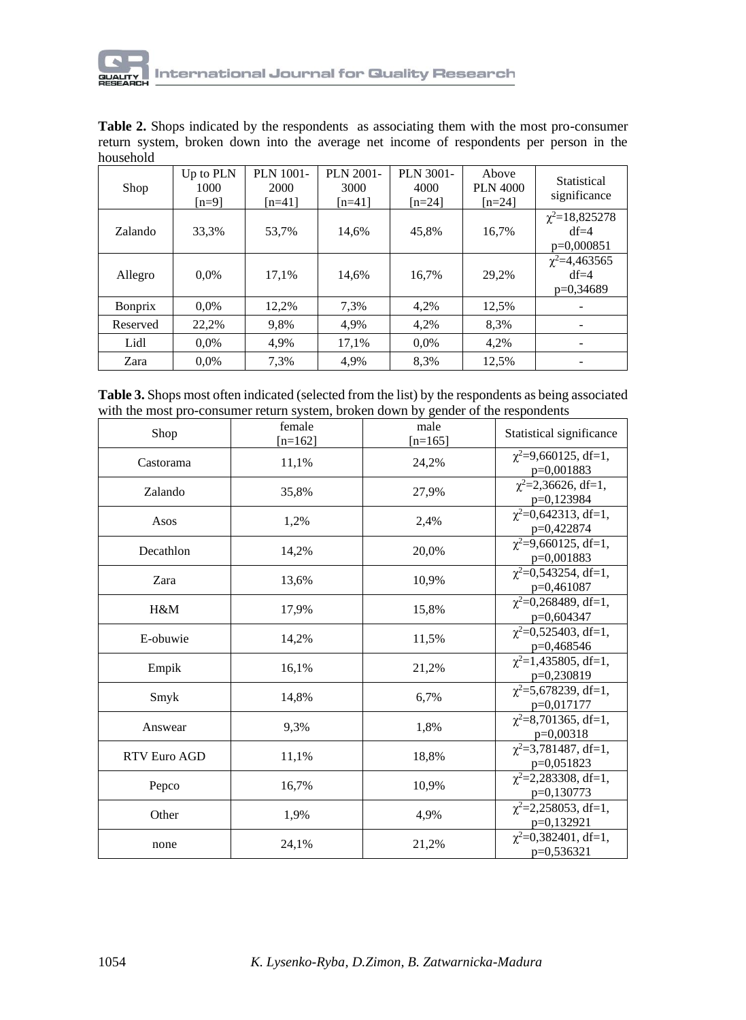

**Table 2.** Shops indicated by the respondents as associating them with the most pro-consumer return system, broken down into the average net income of respondents per person in the household

| Shop           | Up to PLN<br>1000<br>$[n=9]$ | PLN 1001-<br>2000<br>$[n=41]$ | PLN 2001-<br>3000<br>$[n=41]$ | PLN 3001-<br>4000<br>$[n=24]$ | Above<br>PLN 4000<br>$[n=24]$ | Statistical<br>significance                   |
|----------------|------------------------------|-------------------------------|-------------------------------|-------------------------------|-------------------------------|-----------------------------------------------|
| Zalando        | 33,3%                        | 53.7%                         | 14.6%                         | 45,8%                         | 16.7%                         | $\chi^2$ =18,825278<br>$df=4$<br>$p=0,000851$ |
| Allegro        | $0.0\%$                      | 17.1%                         | 14.6%                         | 16,7%                         | 29,2%                         | $\chi^2$ =4,463565<br>$df=4$<br>$p=0,34689$   |
| <b>Bonprix</b> | $0.0\%$                      | 12,2%                         | 7.3%                          | 4,2%                          | 12,5%                         |                                               |
| Reserved       | 22.2%                        | 9,8%                          | 4.9%                          | 4,2%                          | 8,3%                          |                                               |
| Lidl           | $0.0\%$                      | 4,9%                          | 17.1%                         | $0.0\%$                       | 4,2%                          |                                               |
| Zara           | 0.0%                         | 7.3%                          | 4.9%                          | 8.3%                          | 12.5%                         |                                               |

**Table 3.** Shops most often indicated (selected from the list) by the respondents as being associated with the most pro-consumer return system, broken down by gender of the respondents

| Shop                | female<br>$[n=162]$ | male<br>$[n=165]$ | Statistical significance                      |
|---------------------|---------------------|-------------------|-----------------------------------------------|
| Castorama           | 11,1%               | 24,2%             | $\chi^2$ =9,660125, df=1,<br>p=0,001883       |
| Zalando             | 35,8%               | 27,9%             | $\chi^2 = 2,36626, df = 1,$<br>p=0,123984     |
| Asos                | 1,2%                | 2,4%              | $\chi^2$ =0,642313, df=1,<br>p=0,422874       |
| Decathlon           | 14,2%               | 20,0%             | $\chi^2$ =9,660125, df=1,<br>$p=0,001883$     |
| Zara                | 13,6%               | 10,9%             | $\chi^2$ =0,543254, df=1,<br>p=0,461087       |
| H&M                 | 17,9%               | 15,8%             | $\chi^2$ =0,268489, df=1,<br>p=0,604347       |
| E-obuwie            | 14,2%               | 11,5%             | $\chi^2$ =0,525403, df=1,<br>p=0,468546       |
| Empik               | 16,1%               | 21,2%             | $\gamma^2$ =1,435805, df=1,<br>$p=0,230819$   |
| Smyk                | 14,8%               | 6,7%              | $\gamma^2 = 5.678239$ , df=1,<br>p=0,017177   |
| Answear             | 9,3%                | 1,8%              | $\chi^2$ =8,701365, df=1,<br>$p=0.00318$      |
| <b>RTV Euro AGD</b> | 11,1%               | 18,8%             | $\chi^2$ =3,781487, df=1,<br>$p=0,051823$     |
| Pepco               | 16,7%               | 10,9%             | $\gamma^2 = 2.283308$ , df=1,<br>$p=0,130773$ |
| Other               | 1,9%                | 4,9%              | $\chi^2$ =2,258053, df=1,<br>p=0,132921       |
| none                | 24,1%               | 21,2%             | $\gamma^2 = 0.382401$ , df=1,<br>$p=0.536321$ |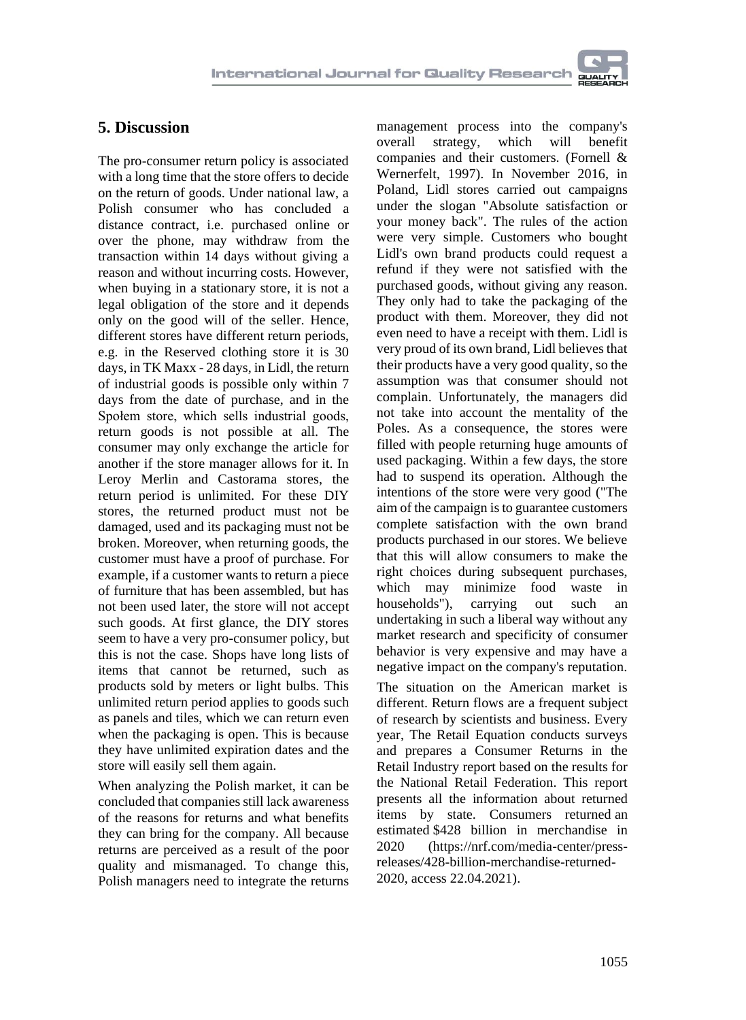

## **5. Discussion**

The pro-consumer return policy is associated with a long time that the store offers to decide on the return of goods. Under national law, a Polish consumer who has concluded a distance contract, i.e. purchased online or over the phone, may withdraw from the transaction within 14 days without giving a reason and without incurring costs. However, when buying in a stationary store, it is not a legal obligation of the store and it depends only on the good will of the seller. Hence, different stores have different return periods, e.g. in the Reserved clothing store it is 30 days, in TK Maxx - 28 days, in Lidl, the return of industrial goods is possible only within 7 days from the date of purchase, and in the Społem store, which sells industrial goods, return goods is not possible at all. The consumer may only exchange the article for another if the store manager allows for it. In Leroy Merlin and Castorama stores, the return period is unlimited. For these DIY stores, the returned product must not be damaged, used and its packaging must not be broken. Moreover, when returning goods, the customer must have a proof of purchase. For example, if a customer wants to return a piece of furniture that has been assembled, but has not been used later, the store will not accept such goods. At first glance, the DIY stores seem to have a very pro-consumer policy, but this is not the case. Shops have long lists of items that cannot be returned, such as products sold by meters or light bulbs. This unlimited return period applies to goods such as panels and tiles, which we can return even when the packaging is open. This is because they have unlimited expiration dates and the store will easily sell them again.

When analyzing the Polish market, it can be concluded that companies still lack awareness of the reasons for returns and what benefits they can bring for the company. All because returns are perceived as a result of the poor quality and mismanaged. To change this, Polish managers need to integrate the returns

management process into the company's overall strategy, which will benefit companies and their customers. (Fornell & Wernerfelt, 1997). In November 2016, in Poland, Lidl stores carried out campaigns under the slogan "Absolute satisfaction or your money back". The rules of the action were very simple. Customers who bought Lidl's own brand products could request a refund if they were not satisfied with the purchased goods, without giving any reason. They only had to take the packaging of the product with them. Moreover, they did not even need to have a receipt with them. Lidl is very proud of its own brand, Lidl believes that their products have a very good quality, so the assumption was that consumer should not complain. Unfortunately, the managers did not take into account the mentality of the Poles. As a consequence, the stores were filled with people returning huge amounts of used packaging. Within a few days, the store had to suspend its operation. Although the intentions of the store were very good ("The aim of the campaign is to guarantee customers complete satisfaction with the own brand products purchased in our stores. We believe that this will allow consumers to make the right choices during subsequent purchases, which may minimize food waste in households"), carrying out such an undertaking in such a liberal way without any market research and specificity of consumer behavior is very expensive and may have a negative impact on the company's reputation.

The situation on the American market is different. Return flows are a frequent subject of research by scientists and business. Every year, The Retail Equation conducts surveys and prepares a Consumer Returns in the Retail Industry report based on the results for the National Retail Federation. This report presents all the information about returned items by state. Consumers returned an estimated \$428 billion in merchandise in 2020 [\(https://nrf.com/media-center/press](https://nrf.com/media-center/press-releases/428-billion-merchandise-returned-2020)[releases/428-billion-merchandise-returned-](https://nrf.com/media-center/press-releases/428-billion-merchandise-returned-2020)[2020,](https://nrf.com/media-center/press-releases/428-billion-merchandise-returned-2020) access 22.04.2021).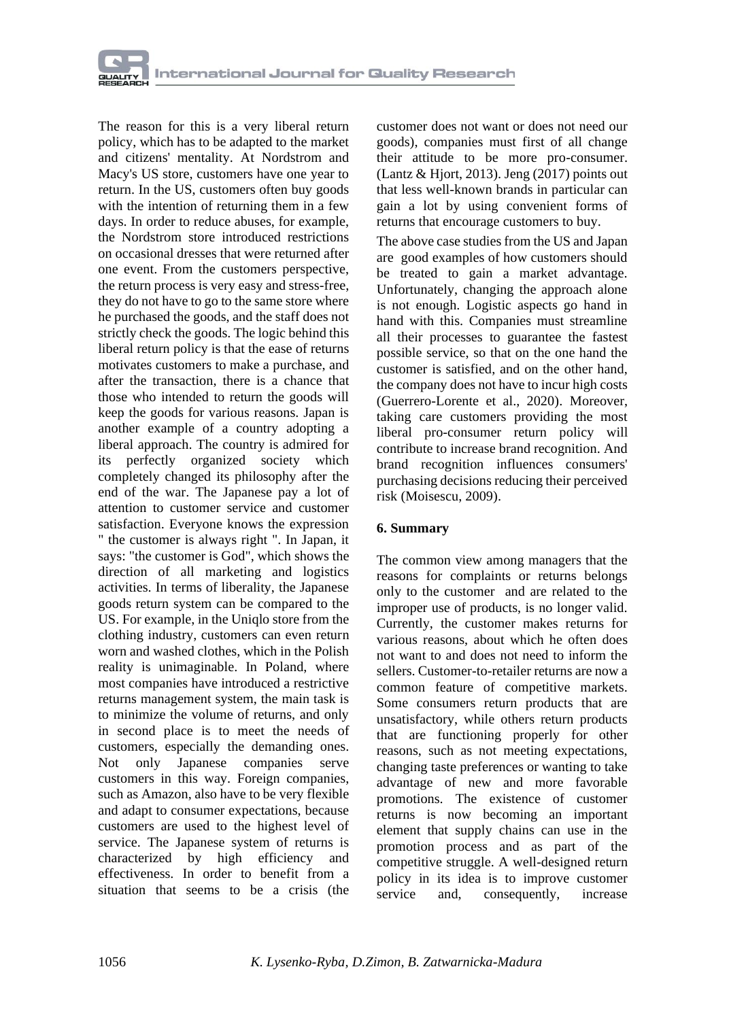The reason for this is a very liberal return policy, which has to be adapted to the market and citizens' mentality. At Nordstrom and Macy's US store, customers have one year to return. In the US, customers often buy goods with the intention of returning them in a few days. In order to reduce abuses, for example, the Nordstrom store introduced restrictions on occasional dresses that were returned after one event. From the customers perspective, the return process is very easy and stress-free, they do not have to go to the same store where he purchased the goods, and the staff does not strictly check the goods. The logic behind this liberal return policy is that the ease of returns motivates customers to make a purchase, and after the transaction, there is a chance that those who intended to return the goods will keep the goods for various reasons. Japan is another example of a country adopting a liberal approach. The country is admired for its perfectly organized society which completely changed its philosophy after the end of the war. The Japanese pay a lot of attention to customer service and customer satisfaction. Everyone knows the expression " the customer is always right ". In Japan, it says: "the customer is God", which shows the direction of all marketing and logistics activities. In terms of liberality, the Japanese goods return system can be compared to the US. For example, in the Uniqlo store from the clothing industry, customers can even return worn and washed clothes, which in the Polish reality is unimaginable. In Poland, where most companies have introduced a restrictive returns management system, the main task is to minimize the volume of returns, and only in second place is to meet the needs of customers, especially the demanding ones. Not only Japanese companies serve customers in this way. Foreign companies, such as Amazon, also have to be very flexible and adapt to consumer expectations, because customers are used to the highest level of service. The Japanese system of returns is characterized by high efficiency and effectiveness. In order to benefit from a situation that seems to be a crisis (the customer does not want or does not need our goods), companies must first of all change their attitude to be more pro-consumer. (Lantz  $&$  Hjort, 2013). Jeng (2017) points out that less well-known brands in particular can gain a lot by using convenient forms of returns that encourage customers to buy.

The above case studies from the US and Japan are good examples of how customers should be treated to gain a market advantage. Unfortunately, changing the approach alone is not enough. Logistic aspects go hand in hand with this. Companies must streamline all their processes to guarantee the fastest possible service, so that on the one hand the customer is satisfied, and on the other hand, the company does not have to incur high costs (Guerrero-Lorente et al., 2020). Moreover, taking care customers providing the most liberal pro-consumer return policy will contribute to increase brand recognition. And brand recognition influences consumers' purchasing decisions reducing their perceived risk (Moisescu, 2009).

#### **6. Summary**

The common view among managers that the reasons for complaints or returns belongs only to the customer and are related to the improper use of products, is no longer valid. Currently, the customer makes returns for various reasons, about which he often does not want to and does not need to inform the sellers. Customer-to-retailer returns are now a common feature of competitive markets. Some consumers return products that are unsatisfactory, while others return products that are functioning properly for other reasons, such as not meeting expectations, changing taste preferences or wanting to take advantage of new and more favorable promotions. The existence of customer returns is now becoming an important element that supply chains can use in the promotion process and as part of the competitive struggle. A well-designed return policy in its idea is to improve customer service and, consequently, increase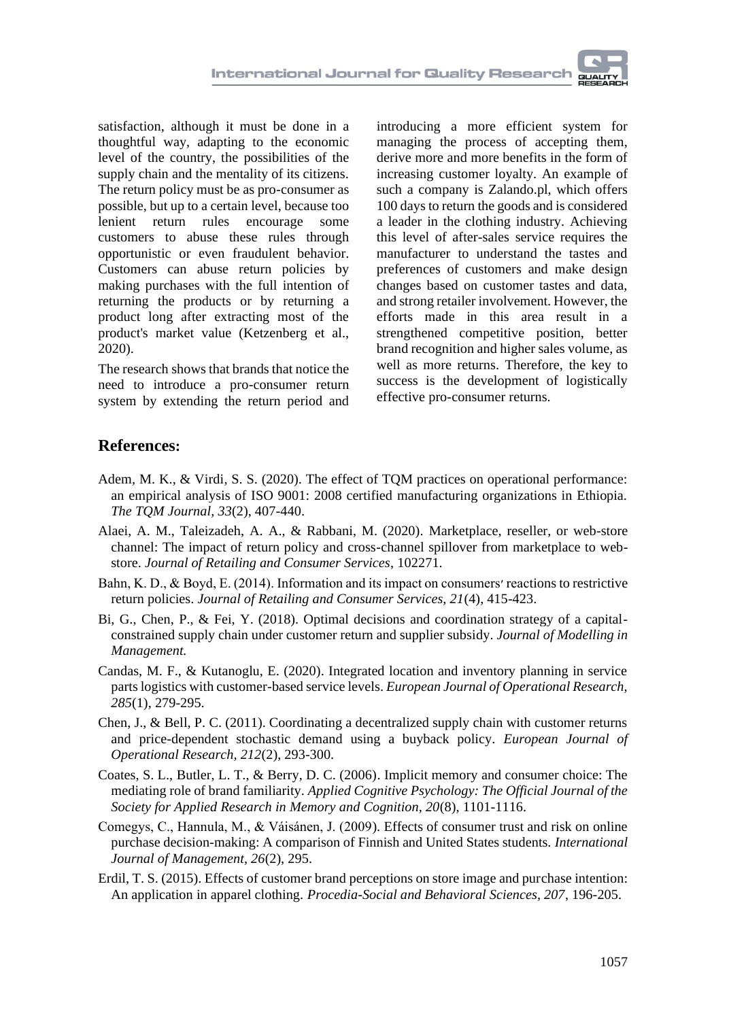satisfaction, although it must be done in a thoughtful way, adapting to the economic level of the country, the possibilities of the supply chain and the mentality of its citizens. The return policy must be as pro-consumer as possible, but up to a certain level, because too lenient return rules encourage some customers to abuse these rules through opportunistic or even fraudulent behavior. Customers can abuse return policies by making purchases with the full intention of returning the products or by returning a product long after extracting most of the product's market value (Ketzenberg et al., 2020).

The research shows that brands that notice the need to introduce a pro-consumer return system by extending the return period and

introducing a more efficient system for managing the process of accepting them, derive more and more benefits in the form of increasing customer loyalty. An example of such a company is Zalando.pl, which offers 100 days to return the goods and is considered a leader in the clothing industry. Achieving this level of after-sales service requires the manufacturer to understand the tastes and preferences of customers and make design changes based on customer tastes and data, and strong retailer involvement. However, the efforts made in this area result in a strengthened competitive position, better brand recognition and higher sales volume, as well as more returns. Therefore, the key to success is the development of logistically effective pro-consumer returns.

## **References:**

- Adem, M. K., & Virdi, S. S. (2020). The effect of TQM practices on operational performance: an empirical analysis of ISO 9001: 2008 certified manufacturing organizations in Ethiopia. *The TQM Journal, 33*(2), 407-440.
- Alaei, A. M., Taleizadeh, A. A., & Rabbani, M. (2020). Marketplace, reseller, or web-store channel: The impact of return policy and cross-channel spillover from marketplace to webstore. *Journal of Retailing and Consumer Services*, 102271.
- Bahn, K. D., & Boyd, E. (2014). Information and its impact on consumers׳ reactions to restrictive return policies. *Journal of Retailing and Consumer Services, 21*(4), 415-423.
- Bi, G., Chen, P., & Fei, Y. (2018). Optimal decisions and coordination strategy of a capitalconstrained supply chain under customer return and supplier subsidy. *Journal of Modelling in Management.*
- Candas, M. F., & Kutanoglu, E. (2020). Integrated location and inventory planning in service parts logistics with customer-based service levels. *European Journal of Operational Research, 285*(1), 279-295.
- Chen, J., & Bell, P. C. (2011). Coordinating a decentralized supply chain with customer returns and price-dependent stochastic demand using a buyback policy. *European Journal of Operational Research, 212*(2), 293-300.
- Coates, S. L., Butler, L. T., & Berry, D. C. (2006). Implicit memory and consumer choice: The mediating role of brand familiarity*. Applied Cognitive Psychology: The Official Journal of the Society for Applied Research in Memory and Cognition, 20*(8), 1101-1116.
- Comegys, C., Hannula, M., & Váisánen, J. (2009). Effects of consumer trust and risk on online purchase decision-making: A comparison of Finnish and United States students. *International Journal of Management, 26*(2), 295.
- Erdil, T. S. (2015). Effects of customer brand perceptions on store image and purchase intention: An application in apparel clothing. *Procedia-Social and Behavioral Sciences, 207*, 196-205.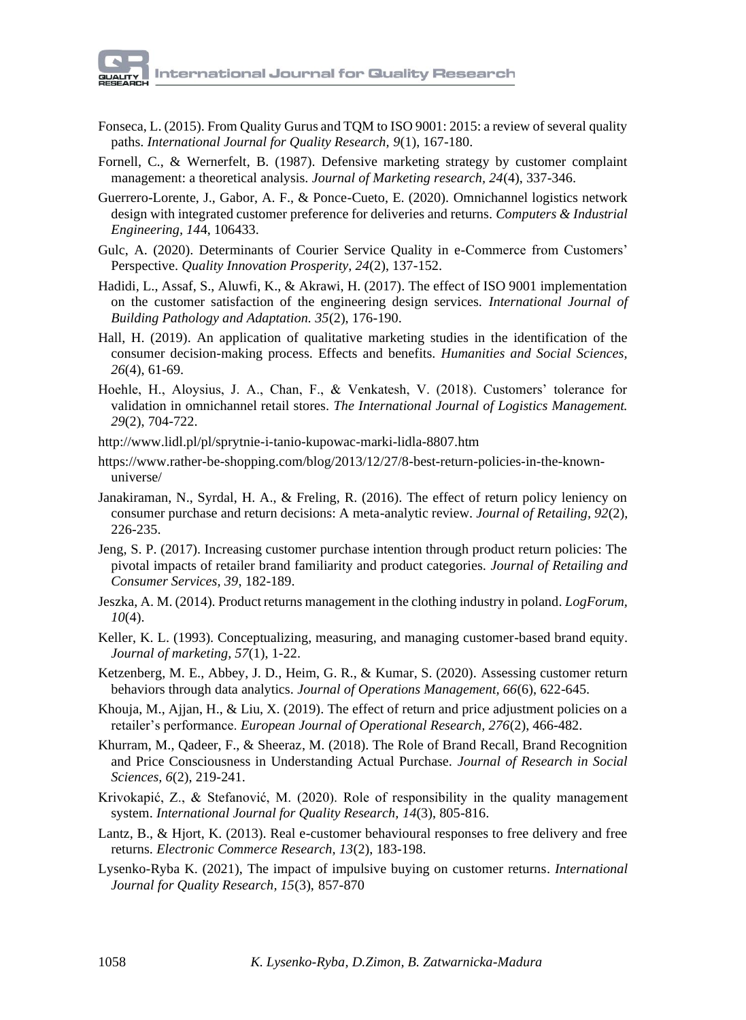- Fonseca, L. (2015). From Quality Gurus and TQM to ISO 9001: 2015: a review of several quality paths. *International Journal for Quality Research, 9*(1), 167-180.
- Fornell, C., & Wernerfelt, B. (1987). Defensive marketing strategy by customer complaint management: a theoretical analysis. *Journal of Marketing research, 24*(4), 337-346.
- Guerrero-Lorente, J., Gabor, A. F., & Ponce-Cueto, E. (2020). Omnichannel logistics network design with integrated customer preference for deliveries and returns. *Computers & Industrial Engineering, 14*4, 106433.
- Gulc, A. (2020). Determinants of Courier Service Quality in e-Commerce from Customers' Perspective. *Quality Innovation Prosperity, 24*(2), 137-152.
- Hadidi, L., Assaf, S., Aluwfi, K., & Akrawi, H. (2017). The effect of ISO 9001 implementation on the customer satisfaction of the engineering design services. *International Journal of Building Pathology and Adaptation. 35*(2), 176-190.
- Hall, H. (2019). An application of qualitative marketing studies in the identification of the consumer decision-making process. Effects and benefits. *Humanities and Social Sciences, 26*(4), 61-69.
- Hoehle, H., Aloysius, J. A., Chan, F., & Venkatesh, V. (2018). Customers' tolerance for validation in omnichannel retail stores. *The International Journal of Logistics Management. 29*(2), 704-722.
- <http://www.lidl.pl/pl/sprytnie-i-tanio-kupowac-marki-lidla-8807.htm>
- https://www.rather-be-shopping.com/blog/2013/12/27/8-best-return-policies-in-the-knownuniverse/
- Janakiraman, N., Syrdal, H. A., & Freling, R. (2016). The effect of return policy leniency on consumer purchase and return decisions: A meta-analytic review. *Journal of Retailing, 92*(2), 226-235.
- Jeng, S. P. (2017). Increasing customer purchase intention through product return policies: The pivotal impacts of retailer brand familiarity and product categories. *Journal of Retailing and Consumer Services, 39*, 182-189.
- Jeszka, A. M. (2014). Product returns management in the clothing industry in poland*. LogForum, 10*(4).
- Keller, K. L. (1993). Conceptualizing, measuring, and managing customer-based brand equity. *Journal of marketing, 57*(1), 1-22.
- Ketzenberg, M. E., Abbey, J. D., Heim, G. R., & Kumar, S. (2020). Assessing customer return behaviors through data analytics. *Journal of Operations Management, 66*(6), 622-645.
- Khouja, M., Ajjan, H., & Liu, X. (2019). The effect of return and price adjustment policies on a retailer's performance. *European Journal of Operational Research, 276*(2), 466-482.
- Khurram, M., Qadeer, F., & Sheeraz, M. (2018). The Role of Brand Recall, Brand Recognition and Price Consciousness in Understanding Actual Purchase. *Journal of Research in Social Sciences, 6*(2), 219-241.
- Krivokapić, Z., & Stefanović, M. (2020). Role of responsibility in the quality management system. *International Journal for Quality Research, 14*(3), 805-816.
- Lantz, B., & Hjort, K. (2013). Real e-customer behavioural responses to free delivery and free returns. *Electronic Commerce Research, 13*(2), 183-198.
- Lysenko-Ryba K. (2021), The impact of impulsive buying on customer returns. *International Journal for Quality Research, 15*(3), 857-870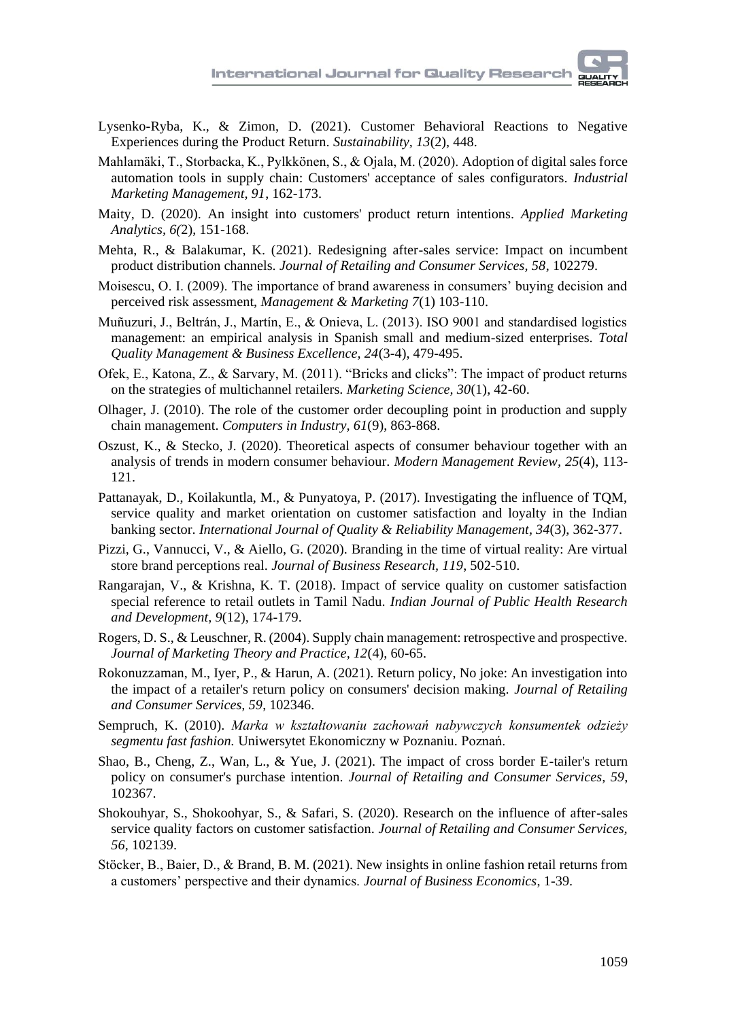

- Lysenko-Ryba, K., & Zimon, D. (2021). Customer Behavioral Reactions to Negative Experiences during the Product Return. *Sustainability, 13*(2), 448.
- Mahlamäki, T., Storbacka, K., Pylkkönen, S., & Ojala, M. (2020). Adoption of digital sales force automation tools in supply chain: Customers' acceptance of sales configurators. *Industrial Marketing Management, 91*, 162-173.
- Maity, D. (2020). An insight into customers' product return intentions. *Applied Marketing Analytics, 6(*2), 151-168.
- Mehta, R., & Balakumar, K. (2021). Redesigning after-sales service: Impact on incumbent product distribution channels. *Journal of Retailing and Consumer Services, 58*, 102279.
- Moisescu, O. I. (2009). The importance of brand awareness in consumers' buying decision and perceived risk assessment, *Management & Marketing 7*(1) 103-110.
- Muñuzuri, J., Beltrán, J., Martín, E., & Onieva, L. (2013). ISO 9001 and standardised logistics management: an empirical analysis in Spanish small and medium-sized enterprises. *Total Quality Management & Business Excellence, 24*(3-4), 479-495.
- Ofek, E., Katona, Z., & Sarvary, M. (2011). "Bricks and clicks": The impact of product returns on the strategies of multichannel retailers. *Marketing Science, 30*(1), 42-60.
- Olhager, J. (2010). The role of the customer order decoupling point in production and supply chain management. *Computers in Industry, 61*(9), 863-868.
- Oszust, K., & Stecko, J. (2020). Theoretical aspects of consumer behaviour together with an analysis of trends in modern consumer behaviour. *Modern Management Review, 25*(4), 113- 121.
- Pattanayak, D., Koilakuntla, M., & Punyatoya, P. (2017). Investigating the influence of TQM, service quality and market orientation on customer satisfaction and loyalty in the Indian banking sector. *International Journal of Quality & Reliability Management, 34*(3), 362-377.
- Pizzi, G., Vannucci, V., & Aiello, G. (2020). Branding in the time of virtual reality: Are virtual store brand perceptions real. *Journal of Business Research, 119*, 502-510.
- Rangarajan, V., & Krishna, K. T. (2018). Impact of service quality on customer satisfaction special reference to retail outlets in Tamil Nadu. *Indian Journal of Public Health Research and Development, 9*(12), 174-179.
- Rogers, D. S., & Leuschner, R. (2004). Supply chain management: retrospective and prospective. *Journal of Marketing Theory and Practice, 12*(4), 60-65.
- Rokonuzzaman, M., Iyer, P., & Harun, A. (2021). Return policy, No joke: An investigation into the impact of a retailer's return policy on consumers' decision making. *Journal of Retailing and Consumer Services, 59*, 102346.
- Sempruch, K. (2010). *Marka w kształtowaniu zachowań nabywczych konsumentek odzieży segmentu fast fashion.* Uniwersytet Ekonomiczny w Poznaniu. Poznań.
- Shao, B., Cheng, Z., Wan, L., & Yue, J. (2021). The impact of cross border E-tailer's return policy on consumer's purchase intention. *Journal of Retailing and Consumer Services, 59*, 102367.
- Shokouhyar, S., Shokoohyar, S., & Safari, S. (2020). Research on the influence of after-sales service quality factors on customer satisfaction. *Journal of Retailing and Consumer Services, 56*, 102139.
- Stöcker, B., Baier, D., & Brand, B. M. (2021). New insights in online fashion retail returns from a customers' perspective and their dynamics. *Journal of Business Economics*, 1-39.